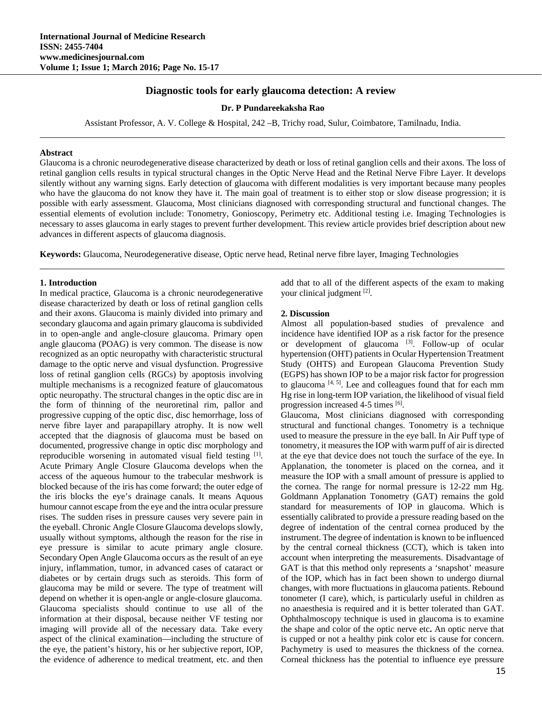# **Diagnostic tools for early glaucoma detection: A review**

**Dr. P Pundareekaksha Rao** 

Assistant Professor, A. V. College & Hospital, 242 –B, Trichy road, Sulur, Coimbatore, Tamilnadu, India.

#### **Abstract**

Glaucoma is a chronic neurodegenerative disease characterized by death or loss of retinal ganglion cells and their axons. The loss of retinal ganglion cells results in typical structural changes in the Optic Nerve Head and the Retinal Nerve Fibre Layer. It develops silently without any warning signs. Early detection of glaucoma with different modalities is very important because many peoples who have the glaucoma do not know they have it. The main goal of treatment is to either stop or slow disease progression; it is possible with early assessment. Glaucoma, Most clinicians diagnosed with corresponding structural and functional changes. The essential elements of evolution include: Tonometry, Gonioscopy, Perimetry etc. Additional testing i.e. Imaging Technologies is necessary to asses glaucoma in early stages to prevent further development. This review article provides brief description about new advances in different aspects of glaucoma diagnosis.

**Keywords:** Glaucoma, Neurodegenerative disease, Optic nerve head, Retinal nerve fibre layer, Imaging Technologies

#### **1. Introduction**

In medical practice, Glaucoma is a chronic neurodegenerative disease characterized by death or loss of retinal ganglion cells and their axons. Glaucoma is mainly divided into primary and secondary glaucoma and again primary glaucoma is subdivided in to open-angle and angle-closure glaucoma. Primary open angle glaucoma (POAG) is very common. The disease is now recognized as an optic neuropathy with characteristic structural damage to the optic nerve and visual dysfunction. Progressive loss of retinal ganglion cells (RGCs) by apoptosis involving multiple mechanisms is a recognized feature of glaucomatous optic neuropathy. The structural changes in the optic disc are in the form of thinning of the neuroretinal rim, pallor and progressive cupping of the optic disc, disc hemorrhage, loss of nerve fibre layer and parapapillary atrophy. It is now well accepted that the diagnosis of glaucoma must be based on documented, progressive change in optic disc morphology and reproducible worsening in automated visual field testing [1]. Acute Primary Angle Closure Glaucoma develops when the access of the aqueous humour to the trabecular meshwork is blocked because of the iris has come forward; the outer edge of the iris blocks the eye's drainage canals. It means Aquous humour cannot escape from the eye and the intra ocular pressure rises. The sudden rises in pressure causes very severe pain in the eyeball. Chronic Angle Closure Glaucoma develops slowly, usually without symptoms, although the reason for the rise in eye pressure is similar to acute primary angle closure. Secondary Open Angle Glaucoma occurs as the result of an eye injury, inflammation, tumor, in advanced cases of cataract or diabetes or by certain drugs such as steroids. This form of glaucoma may be mild or severe. The type of treatment will depend on whether it is open-angle or angle-closure glaucoma. Glaucoma specialists should continue to use all of the information at their disposal, because neither VF testing nor imaging will provide all of the necessary data. Take every aspect of the clinical examination—including the structure of the eye, the patient's history, his or her subjective report, IOP, the evidence of adherence to medical treatment, etc. and then

add that to all of the different aspects of the exam to making your clinical judgment [2].

### **2. Discussion**

Almost all population-based studies of prevalence and incidence have identified IOP as a risk factor for the presence or development of glaucoma [3]. Follow-up of ocular hypertension (OHT) patients in Ocular Hypertension Treatment Study (OHTS) and European Glaucoma Prevention Study (EGPS) has shown IOP to be a major risk factor for progression to glaucoma  $[4, 5]$ . Lee and colleagues found that for each mm Hg rise in long-term IOP variation, the likelihood of visual field progression increased 4-5 times [6].

Glaucoma, Most clinicians diagnosed with corresponding structural and functional changes. Tonometry is a technique used to measure the pressure in the eye ball. In Air Puff type of tonometry, it measures the IOP with warm puff of air is directed at the eye that device does not touch the surface of the eye. In Applanation, the tonometer is placed on the cornea, and it measure the IOP with a small amount of pressure is applied to the cornea. The range for normal pressure is 12-22 mm Hg. Goldmann Applanation Tonometry (GAT) remains the gold standard for measurements of IOP in glaucoma. Which is essentially calibrated to provide a pressure reading based on the degree of indentation of the central cornea produced by the instrument. The degree of indentation is known to be influenced by the central corneal thickness (CCT), which is taken into account when interpreting the measurements. Disadvantage of GAT is that this method only represents a 'snapshot' measure of the IOP, which has in fact been shown to undergo diurnal changes, with more fluctuations in glaucoma patients. Rebound tonometer (I care), which, is particularly useful in children as no anaesthesia is required and it is better tolerated than GAT. Ophthalmoscopy technique is used in glaucoma is to examine the shape and color of the optic nerve etc**.** An optic nerve that is cupped or not a healthy pink color etc is cause for concern. Pachymetry is used to measures the thickness of the cornea. Corneal thickness has the potential to influence eye pressure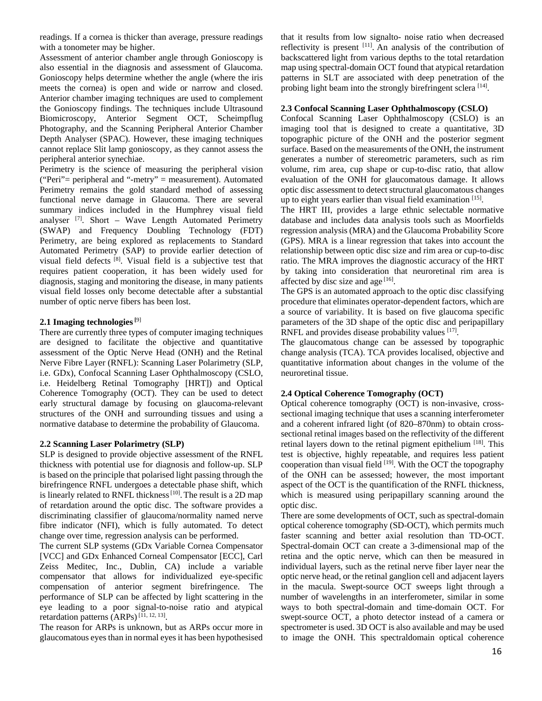readings. If a cornea is thicker than average, pressure readings with a tonometer may be higher.

Assessment of anterior chamber angle through Gonioscopy is also essential in the diagnosis and assessment of Glaucoma. Gonioscopy helps determine whether the angle (where the iris meets the cornea) is open and wide or narrow and closed. Anterior chamber imaging techniques are used to complement the Gonioscopy findings. The techniques include Ultrasound Biomicroscopy, Anterior Segment OCT, Scheimpflug Photography, and the Scanning Peripheral Anterior Chamber Depth Analyser (SPAC). However, these imaging techniques cannot replace Slit lamp gonioscopy, as they cannot assess the peripheral anterior synechiae.

Perimetry is the science of measuring the peripheral vision ("Peri"= peripheral and "-metry" = measurement). Automated Perimetry remains the gold standard method of assessing functional nerve damage in Glaucoma. There are several summary indices included in the Humphrey visual field analyser  $^{[7]}$ . Short – Wave Length Automated Perimetry (SWAP) and Frequency Doubling Technology (FDT) Perimetry, are being explored as replacements to Standard Automated Perimetry (SAP) to provide earlier detection of visual field defects [8]. Visual field is a subjective test that requires patient cooperation, it has been widely used for diagnosis, staging and monitoring the disease, in many patients visual field losses only become detectable after a substantial number of optic nerve fibers has been lost.

### **2.1 Imaging technologies [**9]

There are currently three types of computer imaging techniques are designed to facilitate the objective and quantitative assessment of the Optic Nerve Head (ONH) and the Retinal Nerve Fibre Layer (RNFL): Scanning Laser Polarimetry (SLP, i.e. GDx), Confocal Scanning Laser Ophthalmoscopy (CSLO, i.e. Heidelberg Retinal Tomography [HRT]) and Optical Coherence Tomography (OCT). They can be used to detect early structural damage by focusing on glaucoma-relevant structures of the ONH and surrounding tissues and using a normative database to determine the probability of Glaucoma.

### **2.2 Scanning Laser Polarimetry (SLP)**

SLP is designed to provide objective assessment of the RNFL thickness with potential use for diagnosis and follow-up. SLP is based on the principle that polarised light passing through the birefringence RNFL undergoes a detectable phase shift, which is linearly related to RNFL thickness [10]. The result is a 2D map of retardation around the optic disc. The software provides a discriminating classifier of glaucoma/normality named nerve fibre indicator (NFI), which is fully automated. To detect change over time, regression analysis can be performed.

The current SLP systems (GDx Variable Cornea Compensator [VCC] and GDx Enhanced Corneal Compensator [ECC], Carl Zeiss Meditec, Inc., Dublin, CA) include a variable compensator that allows for individualized eye-specific compensation of anterior segment birefringence. The performance of SLP can be affected by light scattering in the eye leading to a poor signal-to-noise ratio and atypical retardation patterns  $(ARPs)^{[\tilde{11}, 12, 13]}$ .

The reason for ARPs is unknown, but as ARPs occur more in glaucomatous eyes than in normal eyes it has been hypothesised

that it results from low signalto- noise ratio when decreased reflectivity is present [11]. An analysis of the contribution of backscattered light from various depths to the total retardation map using spectral-domain OCT found that atypical retardation patterns in SLT are associated with deep penetration of the probing light beam into the strongly birefringent sclera [14].

### **2.3 Confocal Scanning Laser Ophthalmoscopy (CSLO)**

Confocal Scanning Laser Ophthalmoscopy (CSLO) is an imaging tool that is designed to create a quantitative, 3D topographic picture of the ONH and the posterior segment surface. Based on the measurements of the ONH, the instrument generates a number of stereometric parameters, such as rim volume, rim area, cup shape or cup-to-disc ratio, that allow evaluation of the ONH for glaucomatous damage. It allows optic disc assessment to detect structural glaucomatous changes up to eight years earlier than visual field examination [15].

The HRT III, provides a large ethnic selectable normative database and includes data analysis tools such as Moorfields regression analysis (MRA) and the Glaucoma Probability Score (GPS). MRA is a linear regression that takes into account the relationship between optic disc size and rim area or cup-to-disc ratio. The MRA improves the diagnostic accuracy of the HRT by taking into consideration that neuroretinal rim area is affected by disc size and age  $[16]$ .

The GPS is an automated approach to the optic disc classifying procedure that eliminates operator-dependent factors, which are a source of variability. It is based on five glaucoma specific parameters of the 3D shape of the optic disc and peripapillary RNFL and provides disease probability values <sup>[17]</sup>.

The glaucomatous change can be assessed by topographic change analysis (TCA). TCA provides localised, objective and quantitative information about changes in the volume of the neuroretinal tissue.

## **2.4 Optical Coherence Tomography (OCT)**

Optical coherence tomography (OCT) is non-invasive, crosssectional imaging technique that uses a scanning interferometer and a coherent infrared light (of 820–870nm) to obtain crosssectional retinal images based on the reflectivity of the different retinal layers down to the retinal pigment epithelium [18]. This test is objective, highly repeatable, and requires less patient cooperation than visual field  $[19]$ . With the OCT the topography of the ONH can be assessed; however, the most important aspect of the OCT is the quantification of the RNFL thickness, which is measured using peripapillary scanning around the optic disc.

There are some developments of OCT, such as spectral-domain optical coherence tomography (SD-OCT), which permits much faster scanning and better axial resolution than TD-OCT. Spectral-domain OCT can create a 3-dimensional map of the retina and the optic nerve, which can then be measured in individual layers, such as the retinal nerve fiber layer near the optic nerve head, or the retinal ganglion cell and adjacent layers in the macula. Swept-source OCT sweeps light through a number of wavelengths in an interferometer, similar in some ways to both spectral-domain and time-domain OCT. For swept-source OCT, a photo detector instead of a camera or spectrometer is used. 3D OCT is also available and may be used to image the ONH. This spectraldomain optical coherence